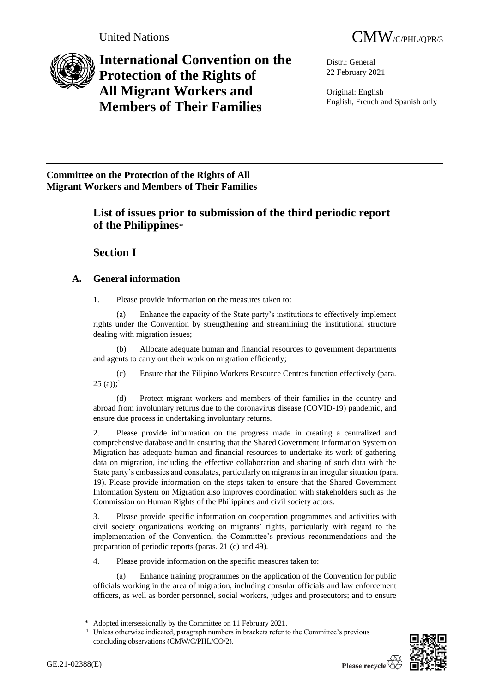



# **International Convention on the Protection of the Rights of All Migrant Workers and Members of Their Families**

Distr.: General 22 February 2021

Original: English English, French and Spanish only

**Committee on the Protection of the Rights of All Migrant Workers and Members of Their Families**

# **List of issues prior to submission of the third periodic report of the Philippines**\*

**Section I**

# **A. General information**

1. Please provide information on the measures taken to:

(a) Enhance the capacity of the State party's institutions to effectively implement rights under the Convention by strengthening and streamlining the institutional structure dealing with migration issues;

(b) Allocate adequate human and financial resources to government departments and agents to carry out their work on migration efficiently;

(c) Ensure that the Filipino Workers Resource Centres function effectively (para.  $25$  (a));<sup>1</sup>

(d) Protect migrant workers and members of their families in the country and abroad from involuntary returns due to the coronavirus disease (COVID-19) pandemic, and ensure due process in undertaking involuntary returns.

2. Please provide information on the progress made in creating a centralized and comprehensive database and in ensuring that the Shared Government Information System on Migration has adequate human and financial resources to undertake its work of gathering data on migration, including the effective collaboration and sharing of such data with the State party's embassies and consulates, particularly on migrants in an irregular situation (para. 19). Please provide information on the steps taken to ensure that the Shared Government Information System on Migration also improves coordination with stakeholders such as the Commission on Human Rights of the Philippines and civil society actors.

3. Please provide specific information on cooperation programmes and activities with civil society organizations working on migrants' rights, particularly with regard to the implementation of the Convention, the Committee's previous recommendations and the preparation of periodic reports (paras. 21 (c) and 49).

4. Please provide information on the specific measures taken to:

(a) Enhance training programmes on the application of the Convention for public officials working in the area of migration, including consular officials and law enforcement officers, as well as border personnel, social workers, judges and prosecutors; and to ensure

<sup>&</sup>lt;sup>1</sup> Unless otherwise indicated, paragraph numbers in brackets refer to the Committee's previous concluding observations (CMW/C/PHL/CO/2).



<sup>\*</sup> Adopted intersessionally by the Committee on 11 February 2021.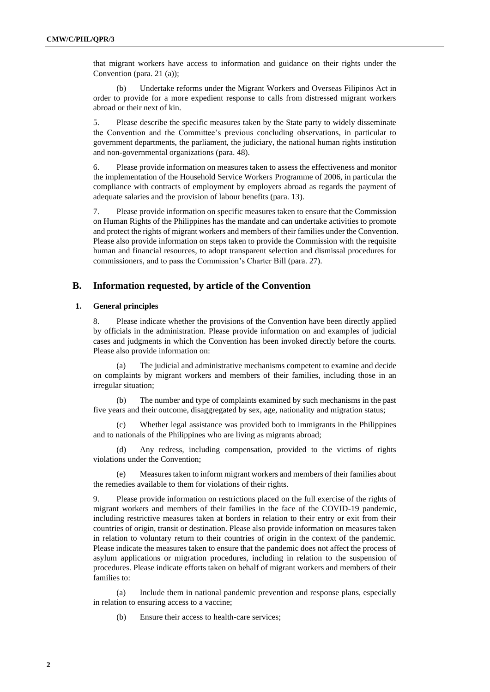that migrant workers have access to information and guidance on their rights under the Convention (para. 21 (a));

(b) Undertake reforms under the Migrant Workers and Overseas Filipinos Act in order to provide for a more expedient response to calls from distressed migrant workers abroad or their next of kin.

5. Please describe the specific measures taken by the State party to widely disseminate the Convention and the Committee's previous concluding observations, in particular to government departments, the parliament, the judiciary, the national human rights institution and non-governmental organizations (para. 48).

6. Please provide information on measures taken to assess the effectiveness and monitor the implementation of the Household Service Workers Programme of 2006, in particular the compliance with contracts of employment by employers abroad as regards the payment of adequate salaries and the provision of labour benefits (para. 13).

7. Please provide information on specific measures taken to ensure that the Commission on Human Rights of the Philippines has the mandate and can undertake activities to promote and protect the rights of migrant workers and members of their families under the Convention. Please also provide information on steps taken to provide the Commission with the requisite human and financial resources, to adopt transparent selection and dismissal procedures for commissioners, and to pass the Commission's Charter Bill (para. 27).

# **B. Information requested, by article of the Convention**

## **1. General principles**

8. Please indicate whether the provisions of the Convention have been directly applied by officials in the administration. Please provide information on and examples of judicial cases and judgments in which the Convention has been invoked directly before the courts. Please also provide information on:

(a) The judicial and administrative mechanisms competent to examine and decide on complaints by migrant workers and members of their families, including those in an irregular situation;

(b) The number and type of complaints examined by such mechanisms in the past five years and their outcome, disaggregated by sex, age, nationality and migration status;

(c) Whether legal assistance was provided both to immigrants in the Philippines and to nationals of the Philippines who are living as migrants abroad;

(d) Any redress, including compensation, provided to the victims of rights violations under the Convention;

(e) Measures taken to inform migrant workers and members of their families about the remedies available to them for violations of their rights.

9. Please provide information on restrictions placed on the full exercise of the rights of migrant workers and members of their families in the face of the COVID-19 pandemic, including restrictive measures taken at borders in relation to their entry or exit from their countries of origin, transit or destination. Please also provide information on measures taken in relation to voluntary return to their countries of origin in the context of the pandemic. Please indicate the measures taken to ensure that the pandemic does not affect the process of asylum applications or migration procedures, including in relation to the suspension of procedures. Please indicate efforts taken on behalf of migrant workers and members of their families to:

(a) Include them in national pandemic prevention and response plans, especially in relation to ensuring access to a vaccine;

(b) Ensure their access to health-care services;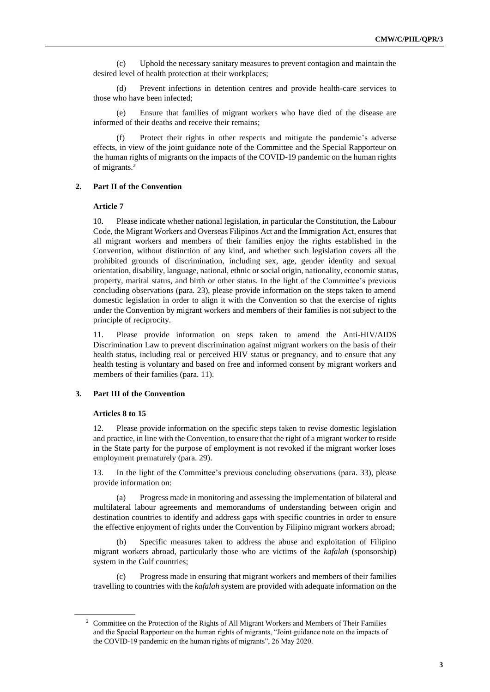(c) Uphold the necessary sanitary measures to prevent contagion and maintain the desired level of health protection at their workplaces;

(d) Prevent infections in detention centres and provide health-care services to those who have been infected;

(e) Ensure that families of migrant workers who have died of the disease are informed of their deaths and receive their remains;

Protect their rights in other respects and mitigate the pandemic's adverse effects, in view of the joint guidance note of the Committee and the Special Rapporteur on the human rights of migrants on the impacts of the COVID-19 pandemic on the human rights of migrants.<sup>2</sup>

#### **2. Part II of the Convention**

### **Article 7**

10. Please indicate whether national legislation, in particular the Constitution, the Labour Code, the Migrant Workers and Overseas Filipinos Act and the Immigration Act, ensures that all migrant workers and members of their families enjoy the rights established in the Convention, without distinction of any kind, and whether such legislation covers all the prohibited grounds of discrimination, including sex, age, gender identity and sexual orientation, disability, language, national, ethnic or social origin, nationality, economic status, property, marital status, and birth or other status. In the light of the Committee's previous concluding observations (para. 23), please provide information on the steps taken to amend domestic legislation in order to align it with the Convention so that the exercise of rights under the Convention by migrant workers and members of their families is not subject to the principle of reciprocity.

11. Please provide information on steps taken to amend the Anti-HIV/AIDS Discrimination Law to prevent discrimination against migrant workers on the basis of their health status, including real or perceived HIV status or pregnancy, and to ensure that any health testing is voluntary and based on free and informed consent by migrant workers and members of their families (para. 11).

## **3. Part III of the Convention**

# **Articles 8 to 15**

12. Please provide information on the specific steps taken to revise domestic legislation and practice, in line with the Convention, to ensure that the right of a migrant worker to reside in the State party for the purpose of employment is not revoked if the migrant worker loses employment prematurely (para. 29).

13. In the light of the Committee's previous concluding observations (para. 33), please provide information on:

(a) Progress made in monitoring and assessing the implementation of bilateral and multilateral labour agreements and memorandums of understanding between origin and destination countries to identify and address gaps with specific countries in order to ensure the effective enjoyment of rights under the Convention by Filipino migrant workers abroad;

Specific measures taken to address the abuse and exploitation of Filipino migrant workers abroad, particularly those who are victims of the *kafalah* (sponsorship) system in the Gulf countries;

(c) Progress made in ensuring that migrant workers and members of their families travelling to countries with the *kafalah* system are provided with adequate information on the

<sup>&</sup>lt;sup>2</sup> Committee on the Protection of the Rights of All Migrant Workers and Members of Their Families and the Special Rapporteur on the human rights of migrants, "Joint guidance note on the impacts of the COVID-19 pandemic on the human rights of migrants", 26 May 2020.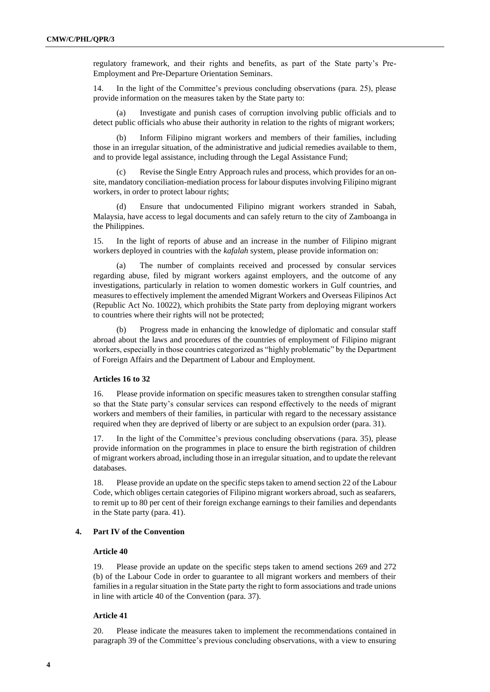regulatory framework, and their rights and benefits, as part of the State party's Pre-Employment and Pre-Departure Orientation Seminars.

14. In the light of the Committee's previous concluding observations (para. 25), please provide information on the measures taken by the State party to:

(a) Investigate and punish cases of corruption involving public officials and to detect public officials who abuse their authority in relation to the rights of migrant workers;

Inform Filipino migrant workers and members of their families, including those in an irregular situation, of the administrative and judicial remedies available to them, and to provide legal assistance, including through the Legal Assistance Fund;

Revise the Single Entry Approach rules and process, which provides for an onsite, mandatory conciliation-mediation process for labour disputes involving Filipino migrant workers, in order to protect labour rights;

(d) Ensure that undocumented Filipino migrant workers stranded in Sabah, Malaysia, have access to legal documents and can safely return to the city of Zamboanga in the Philippines.

15. In the light of reports of abuse and an increase in the number of Filipino migrant workers deployed in countries with the *kafalah* system, please provide information on:

(a) The number of complaints received and processed by consular services regarding abuse, filed by migrant workers against employers, and the outcome of any investigations, particularly in relation to women domestic workers in Gulf countries, and measures to effectively implement the amended Migrant Workers and Overseas Filipinos Act (Republic Act No. 10022), which prohibits the State party from deploying migrant workers to countries where their rights will not be protected;

(b) Progress made in enhancing the knowledge of diplomatic and consular staff abroad about the laws and procedures of the countries of employment of Filipino migrant workers, especially in those countries categorized as "highly problematic" by the Department of Foreign Affairs and the Department of Labour and Employment.

# **Articles 16 to 32**

16. Please provide information on specific measures taken to strengthen consular staffing so that the State party's consular services can respond effectively to the needs of migrant workers and members of their families, in particular with regard to the necessary assistance required when they are deprived of liberty or are subject to an expulsion order (para. 31).

17. In the light of the Committee's previous concluding observations (para. 35), please provide information on the programmes in place to ensure the birth registration of children of migrant workers abroad, including those in an irregular situation, and to update the relevant databases.

18. Please provide an update on the specific steps taken to amend section 22 of the Labour Code, which obliges certain categories of Filipino migrant workers abroad, such as seafarers, to remit up to 80 per cent of their foreign exchange earnings to their families and dependants in the State party (para. 41).

#### **4. Part IV of the Convention**

## **Article 40**

19. Please provide an update on the specific steps taken to amend sections 269 and 272 (b) of the Labour Code in order to guarantee to all migrant workers and members of their families in a regular situation in the State party the right to form associations and trade unions in line with article 40 of the Convention (para. 37).

# **Article 41**

20. Please indicate the measures taken to implement the recommendations contained in paragraph 39 of the Committee's previous concluding observations, with a view to ensuring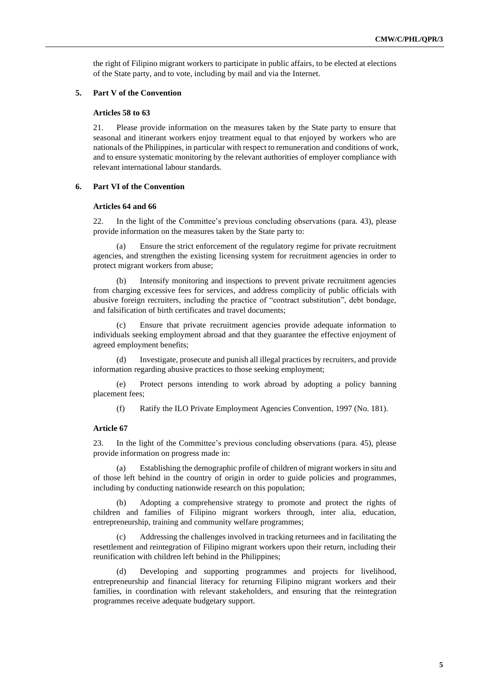the right of Filipino migrant workers to participate in public affairs, to be elected at elections of the State party, and to vote, including by mail and via the Internet.

#### **5. Part V of the Convention**

#### **Articles 58 to 63**

21. Please provide information on the measures taken by the State party to ensure that seasonal and itinerant workers enjoy treatment equal to that enjoyed by workers who are nationals of the Philippines, in particular with respect to remuneration and conditions of work, and to ensure systematic monitoring by the relevant authorities of employer compliance with relevant international labour standards.

### **6. Part VI of the Convention**

# **Articles 64 and 66**

22. In the light of the Committee's previous concluding observations (para. 43), please provide information on the measures taken by the State party to:

(a) Ensure the strict enforcement of the regulatory regime for private recruitment agencies, and strengthen the existing licensing system for recruitment agencies in order to protect migrant workers from abuse;

(b) Intensify monitoring and inspections to prevent private recruitment agencies from charging excessive fees for services, and address complicity of public officials with abusive foreign recruiters, including the practice of "contract substitution", debt bondage, and falsification of birth certificates and travel documents;

Ensure that private recruitment agencies provide adequate information to individuals seeking employment abroad and that they guarantee the effective enjoyment of agreed employment benefits;

(d) Investigate, prosecute and punish all illegal practices by recruiters, and provide information regarding abusive practices to those seeking employment;

(e) Protect persons intending to work abroad by adopting a policy banning placement fees;

(f) Ratify the ILO Private Employment Agencies Convention, 1997 (No. 181).

### **Article 67**

23. In the light of the Committee's previous concluding observations (para. 45), please provide information on progress made in:

(a) Establishing the demographic profile of children of migrant workers in situ and of those left behind in the country of origin in order to guide policies and programmes, including by conducting nationwide research on this population;

(b) Adopting a comprehensive strategy to promote and protect the rights of children and families of Filipino migrant workers through, inter alia, education, entrepreneurship, training and community welfare programmes;

(c) Addressing the challenges involved in tracking returnees and in facilitating the resettlement and reintegration of Filipino migrant workers upon their return, including their reunification with children left behind in the Philippines;

Developing and supporting programmes and projects for livelihood, entrepreneurship and financial literacy for returning Filipino migrant workers and their families, in coordination with relevant stakeholders, and ensuring that the reintegration programmes receive adequate budgetary support.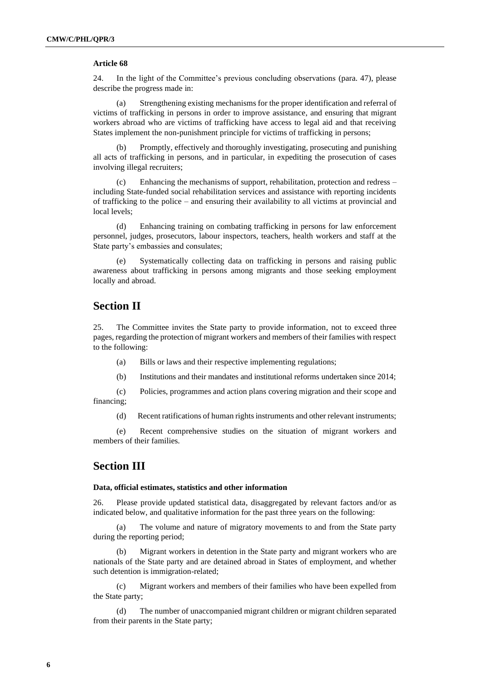# **Article 68**

24. In the light of the Committee's previous concluding observations (para. 47), please describe the progress made in:

(a) Strengthening existing mechanisms for the proper identification and referral of victims of trafficking in persons in order to improve assistance, and ensuring that migrant workers abroad who are victims of trafficking have access to legal aid and that receiving States implement the non-punishment principle for victims of trafficking in persons;

(b) Promptly, effectively and thoroughly investigating, prosecuting and punishing all acts of trafficking in persons, and in particular, in expediting the prosecution of cases involving illegal recruiters;

Enhancing the mechanisms of support, rehabilitation, protection and redress – including State-funded social rehabilitation services and assistance with reporting incidents of trafficking to the police – and ensuring their availability to all victims at provincial and local levels;

(d) Enhancing training on combating trafficking in persons for law enforcement personnel, judges, prosecutors, labour inspectors, teachers, health workers and staff at the State party's embassies and consulates;

(e) Systematically collecting data on trafficking in persons and raising public awareness about trafficking in persons among migrants and those seeking employment locally and abroad.

# **Section II**

25. The Committee invites the State party to provide information, not to exceed three pages, regarding the protection of migrant workers and members of their families with respect to the following:

- (a) Bills or laws and their respective implementing regulations;
- (b) Institutions and their mandates and institutional reforms undertaken since 2014;

(c) Policies, programmes and action plans covering migration and their scope and financing;

(d) Recent ratifications of human rights instruments and other relevant instruments;

(e) Recent comprehensive studies on the situation of migrant workers and members of their families.

# **Section III**

#### **Data, official estimates, statistics and other information**

26. Please provide updated statistical data, disaggregated by relevant factors and/or as indicated below, and qualitative information for the past three years on the following:

(a) The volume and nature of migratory movements to and from the State party during the reporting period;

Migrant workers in detention in the State party and migrant workers who are nationals of the State party and are detained abroad in States of employment, and whether such detention is immigration-related;

(c) Migrant workers and members of their families who have been expelled from the State party;

(d) The number of unaccompanied migrant children or migrant children separated from their parents in the State party;